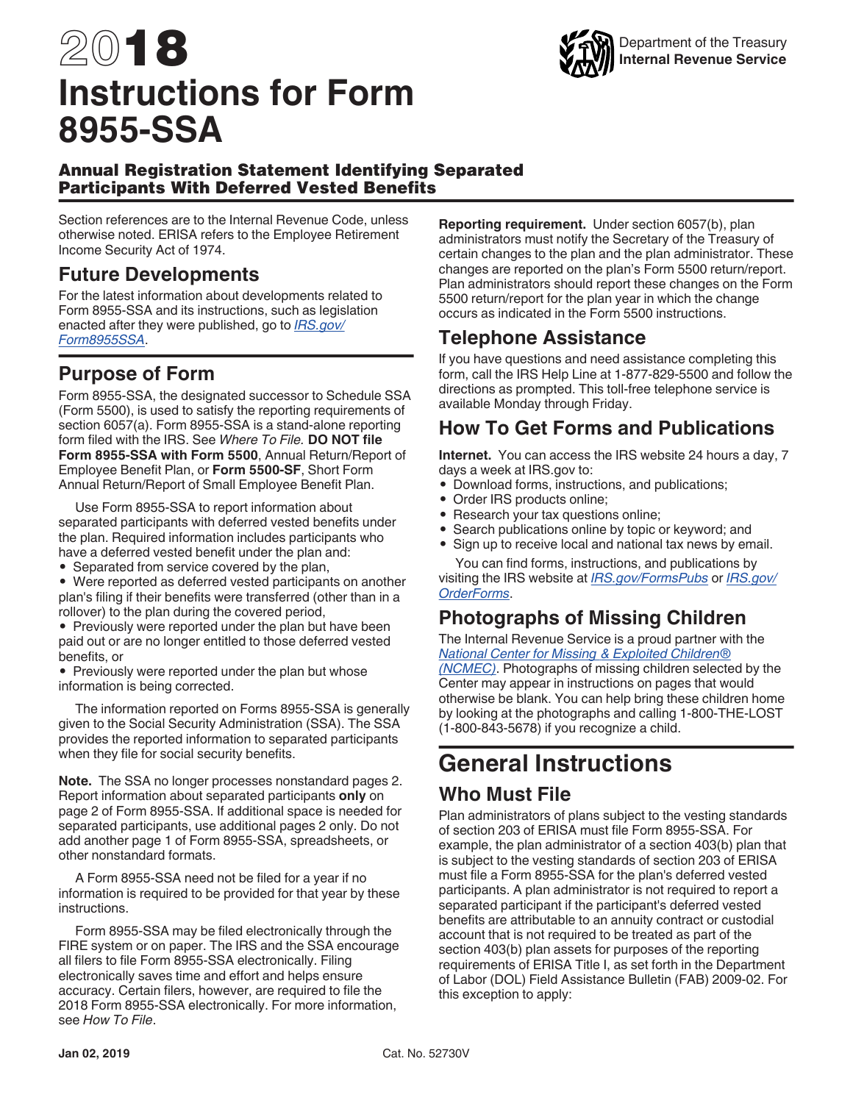# 2018 **Instructions for Form 8955-SSA**



#### Annual Registration Statement Identifying Separated Participants With Deferred Vested Benefits

Section references are to the Internal Revenue Code, unless otherwise noted. ERISA refers to the Employee Retirement Income Security Act of 1974.

#### **Future Developments**

For the latest information about developments related to Form 8955-SSA and its instructions, such as legislation enacted after they were published, go to *[IRS.gov/](https://www.irs.gov/form8955ssa) [Form8955SSA](https://www.irs.gov/form8955ssa)*.

#### **Purpose of Form**

Form 8955-SSA, the designated successor to Schedule SSA (Form 5500), is used to satisfy the reporting requirements of section 6057(a). Form 8955-SSA is a stand-alone reporting form filed with the IRS. See *Where To File.* **DO NOT file Form 8955-SSA with Form 5500**, Annual Return/Report of Employee Benefit Plan, or **Form 5500-SF**, Short Form Annual Return/Report of Small Employee Benefit Plan.

Use Form 8955-SSA to report information about separated participants with deferred vested benefits under the plan. Required information includes participants who have a deferred vested benefit under the plan and:

- Separated from service covered by the plan,
- Were reported as deferred vested participants on another plan's filing if their benefits were transferred (other than in a rollover) to the plan during the covered period,

• Previously were reported under the plan but have been paid out or are no longer entitled to those deferred vested benefits, or

• Previously were reported under the plan but whose information is being corrected.

The information reported on Forms 8955-SSA is generally given to the Social Security Administration (SSA). The SSA provides the reported information to separated participants when they file for social security benefits.

**Note.** The SSA no longer processes nonstandard pages 2. Report information about separated participants **only** on page 2 of Form 8955-SSA. If additional space is needed for separated participants, use additional pages 2 only. Do not add another page 1 of Form 8955-SSA, spreadsheets, or other nonstandard formats.

A Form 8955-SSA need not be filed for a year if no information is required to be provided for that year by these instructions.

Form 8955-SSA may be filed electronically through the FIRE system or on paper. The IRS and the SSA encourage all filers to file Form 8955-SSA electronically. Filing electronically saves time and effort and helps ensure accuracy. Certain filers, however, are required to file the 2018 Form 8955-SSA electronically. For more information, see *How To File*.

**Reporting requirement.** Under section 6057(b), plan administrators must notify the Secretary of the Treasury of certain changes to the plan and the plan administrator. These changes are reported on the plan's Form 5500 return/report. Plan administrators should report these changes on the Form 5500 return/report for the plan year in which the change occurs as indicated in the Form 5500 instructions.

### **Telephone Assistance**

If you have questions and need assistance completing this form, call the IRS Help Line at 1-877-829-5500 and follow the directions as prompted. This toll-free telephone service is available Monday through Friday.

## **How To Get Forms and Publications**

**Internet.** You can access the IRS website 24 hours a day, 7 days a week at IRS.gov to:

- Download forms, instructions, and publications;
- Order IRS products online;
- Research your tax questions online;
- Search publications online by topic or keyword; and
- Sign up to receive local and national tax news by email.

You can find forms, instructions, and publications by visiting the IRS website at *[IRS.gov/FormsPubs](https://www.irs.gov/formspubs)* or *[IRS.gov/](https://www.irs.gov/orderforms) [OrderForms](https://www.irs.gov/orderforms)*.

#### **Photographs of Missing Children**

The Internal Revenue Service is a proud partner with the *[National Center for Missing & Exploited Children®](http://www.missingkids.com/home) [\(NCMEC\)](http://www.missingkids.com/home)*. Photographs of missing children selected by the Center may appear in instructions on pages that would otherwise be blank. You can help bring these children home by looking at the photographs and calling 1-800-THE-LOST (1-800-843-5678) if you recognize a child.

## **General Instructions**

#### **Who Must File**

Plan administrators of plans subject to the vesting standards of section 203 of ERISA must file Form 8955-SSA. For example, the plan administrator of a section 403(b) plan that is subject to the vesting standards of section 203 of ERISA must file a Form 8955-SSA for the plan's deferred vested participants. A plan administrator is not required to report a separated participant if the participant's deferred vested benefits are attributable to an annuity contract or custodial account that is not required to be treated as part of the section 403(b) plan assets for purposes of the reporting requirements of ERISA Title I, as set forth in the Department of Labor (DOL) Field Assistance Bulletin (FAB) 2009-02. For this exception to apply: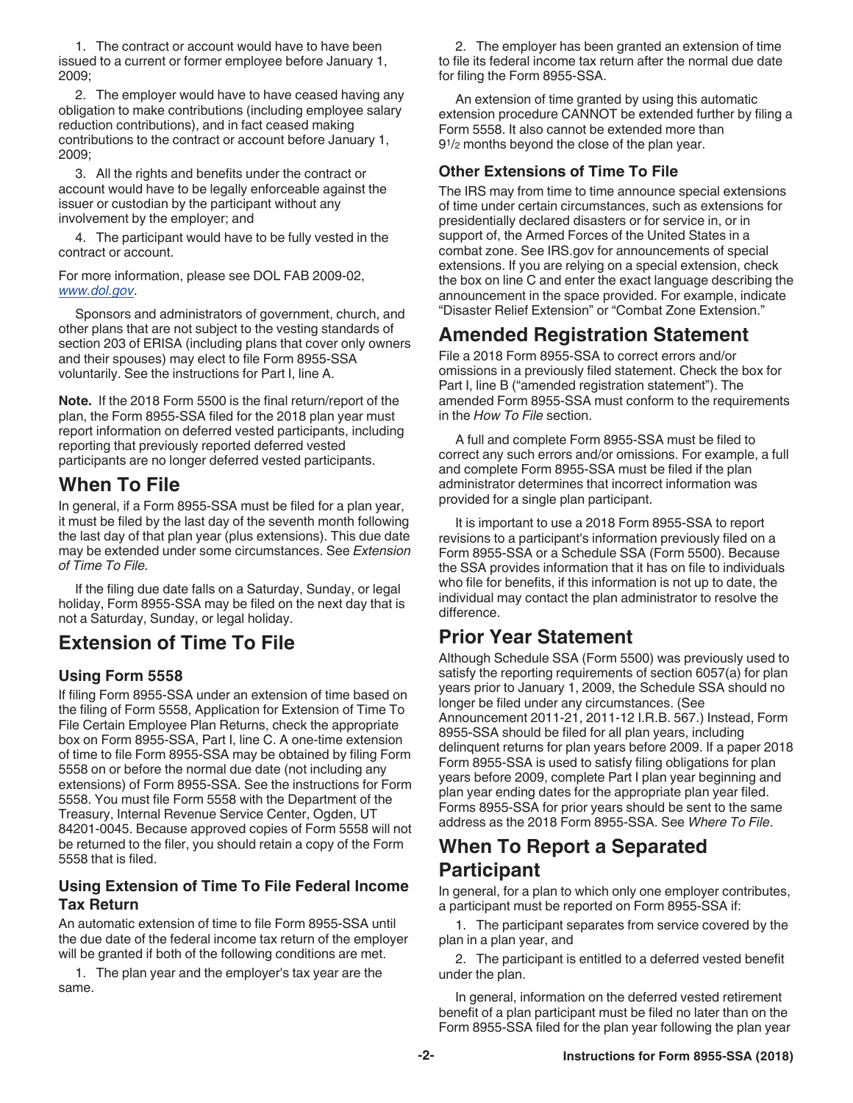1. The contract or account would have to have been issued to a current or former employee before January 1, 2009;

2. The employer would have to have ceased having any obligation to make contributions (including employee salary reduction contributions), and in fact ceased making contributions to the contract or account before January 1, 2009;

3. All the rights and benefits under the contract or account would have to be legally enforceable against the issuer or custodian by the participant without any involvement by the employer; and

4. The participant would have to be fully vested in the contract or account.

For more information, please see DOL FAB 2009-02, *[www.dol.gov](https://www.dol.gov/agencies/ebsa/employers-and-advisers/guidance/field-assistance-bulletins/2009-02)*.

Sponsors and administrators of government, church, and other plans that are not subject to the vesting standards of section 203 of ERISA (including plans that cover only owners and their spouses) may elect to file Form 8955-SSA voluntarily. See the instructions for Part I, line A.

**Note.** If the 2018 Form 5500 is the final return/report of the plan, the Form 8955-SSA filed for the 2018 plan year must report information on deferred vested participants, including reporting that previously reported deferred vested participants are no longer deferred vested participants.

#### **When To File**

In general, if a Form 8955-SSA must be filed for a plan year, it must be filed by the last day of the seventh month following the last day of that plan year (plus extensions). This due date may be extended under some circumstances. See *Extension of Time To File.*

If the filing due date falls on a Saturday, Sunday, or legal holiday, Form 8955-SSA may be filed on the next day that is not a Saturday, Sunday, or legal holiday.

#### **Extension of Time To File**

#### **Using Form 5558**

If filing Form 8955-SSA under an extension of time based on the filing of Form 5558, Application for Extension of Time To File Certain Employee Plan Returns, check the appropriate box on Form 8955-SSA, Part I, line C. A one-time extension of time to file Form 8955-SSA may be obtained by filing Form 5558 on or before the normal due date (not including any extensions) of Form 8955-SSA. See the instructions for Form 5558. You must file Form 5558 with the Department of the Treasury, Internal Revenue Service Center, Ogden, UT 84201-0045. Because approved copies of Form 5558 will not be returned to the filer, you should retain a copy of the Form 5558 that is filed.

#### **Using Extension of Time To File Federal Income Tax Return**

An automatic extension of time to file Form 8955-SSA until the due date of the federal income tax return of the employer will be granted if both of the following conditions are met.

1. The plan year and the employer's tax year are the same.

2. The employer has been granted an extension of time to file its federal income tax return after the normal due date for filing the Form 8955-SSA.

An extension of time granted by using this automatic extension procedure CANNOT be extended further by filing a Form 5558. It also cannot be extended more than 91/2 months beyond the close of the plan year.

#### **Other Extensions of Time To File**

The IRS may from time to time announce special extensions of time under certain circumstances, such as extensions for presidentially declared disasters or for service in, or in support of, the Armed Forces of the United States in a combat zone. See IRS.gov for announcements of special extensions. If you are relying on a special extension, check the box on line C and enter the exact language describing the announcement in the space provided. For example, indicate "Disaster Relief Extension" or "Combat Zone Extension."

### **Amended Registration Statement**

File a 2018 Form 8955-SSA to correct errors and/or omissions in a previously filed statement. Check the box for Part I, line B ("amended registration statement"). The amended Form 8955-SSA must conform to the requirements in the *How To File* section.

A full and complete Form 8955-SSA must be filed to correct any such errors and/or omissions. For example, a full and complete Form 8955-SSA must be filed if the plan administrator determines that incorrect information was provided for a single plan participant.

It is important to use a 2018 Form 8955-SSA to report revisions to a participant's information previously filed on a Form 8955-SSA or a Schedule SSA (Form 5500). Because the SSA provides information that it has on file to individuals who file for benefits, if this information is not up to date, the individual may contact the plan administrator to resolve the difference.

#### **Prior Year Statement**

Although Schedule SSA (Form 5500) was previously used to satisfy the reporting requirements of section 6057(a) for plan years prior to January 1, 2009, the Schedule SSA should no longer be filed under any circumstances. (See Announcement 2011-21, 2011-12 I.R.B. 567.) Instead, Form 8955-SSA should be filed for all plan years, including delinquent returns for plan years before 2009. If a paper 2018 Form 8955-SSA is used to satisfy filing obligations for plan years before 2009, complete Part I plan year beginning and plan year ending dates for the appropriate plan year filed. Forms 8955-SSA for prior years should be sent to the same address as the 2018 Form 8955-SSA. See *Where To File*.

#### **When To Report a Separated Participant**

In general, for a plan to which only one employer contributes, a participant must be reported on Form 8955-SSA if:

1. The participant separates from service covered by the plan in a plan year, and

2. The participant is entitled to a deferred vested benefit under the plan.

In general, information on the deferred vested retirement benefit of a plan participant must be filed no later than on the Form 8955-SSA filed for the plan year following the plan year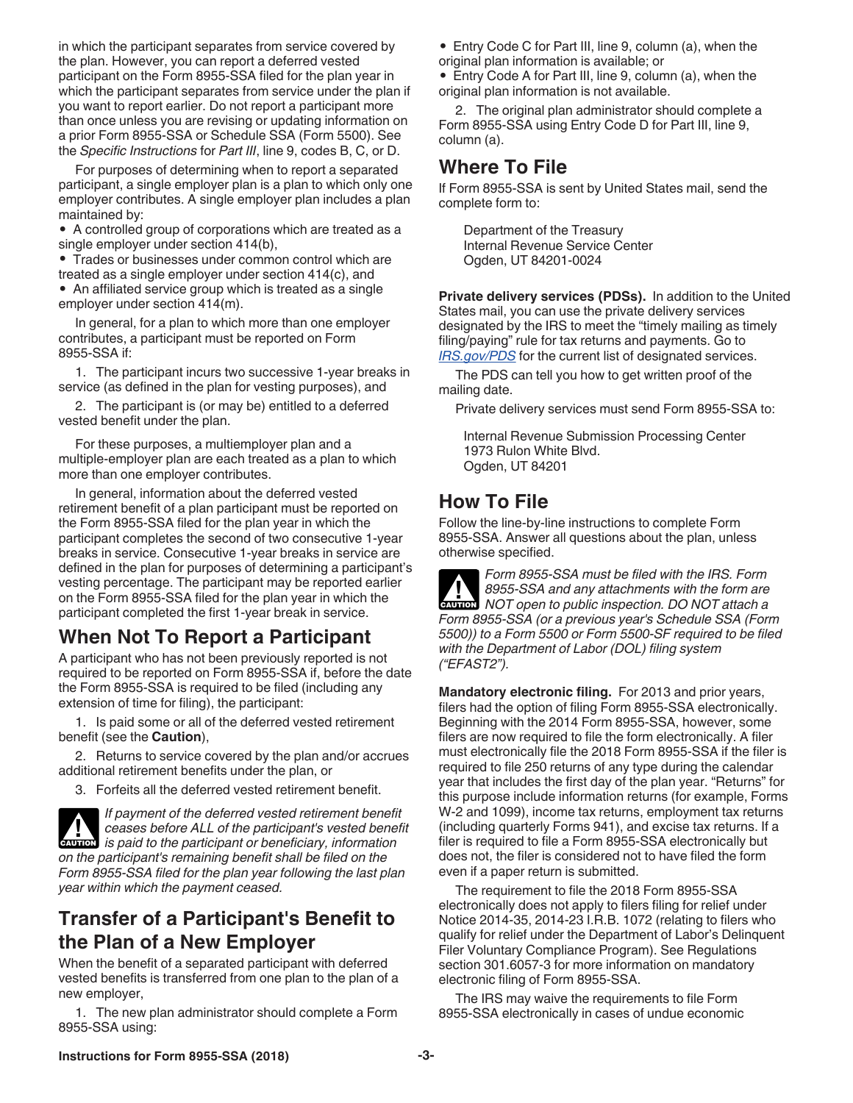in which the participant separates from service covered by the plan. However, you can report a deferred vested participant on the Form 8955-SSA filed for the plan year in which the participant separates from service under the plan if you want to report earlier. Do not report a participant more than once unless you are revising or updating information on a prior Form 8955-SSA or Schedule SSA (Form 5500). See the *Specific Instructions* for *Part III*, line 9, codes B, C, or D.

For purposes of determining when to report a separated participant, a single employer plan is a plan to which only one employer contributes. A single employer plan includes a plan maintained by:

• A controlled group of corporations which are treated as a single employer under section 414(b),

• Trades or businesses under common control which are treated as a single employer under section 414(c), and

• An affiliated service group which is treated as a single employer under section 414(m).

In general, for a plan to which more than one employer contributes, a participant must be reported on Form 8955-SSA if:

1. The participant incurs two successive 1-year breaks in service (as defined in the plan for vesting purposes), and

2. The participant is (or may be) entitled to a deferred vested benefit under the plan.

For these purposes, a multiemployer plan and a multiple-employer plan are each treated as a plan to which more than one employer contributes.

In general, information about the deferred vested retirement benefit of a plan participant must be reported on the Form 8955-SSA filed for the plan year in which the participant completes the second of two consecutive 1-year breaks in service. Consecutive 1-year breaks in service are defined in the plan for purposes of determining a participant's vesting percentage. The participant may be reported earlier on the Form 8955-SSA filed for the plan year in which the participant completed the first 1-year break in service.

## **When Not To Report a Participant**

A participant who has not been previously reported is not required to be reported on Form 8955-SSA if, before the date the Form 8955-SSA is required to be filed (including any extension of time for filing), the participant:

1. Is paid some or all of the deferred vested retirement benefit (see the **Caution**),

2. Returns to service covered by the plan and/or accrues additional retirement benefits under the plan, or

3. Forfeits all the deferred vested retirement benefit.

*If payment of the deferred vested retirement benefit ceases before ALL of the participant's vested benefit ceases before ALL of the participant's vested beneficiary, information on the participant's remaining benefit shall be filed on the Form 8955-SSA filed for the plan year following the last plan year within which the payment ceased.*

#### **Transfer of a Participant's Benefit to the Plan of a New Employer**

When the benefit of a separated participant with deferred vested benefits is transferred from one plan to the plan of a new employer,

1. The new plan administrator should complete a Form 8955-SSA using:

• Entry Code C for Part III, line 9, column (a), when the original plan information is available; or

• Entry Code A for Part III, line 9, column (a), when the original plan information is not available.

2. The original plan administrator should complete a Form 8955-SSA using Entry Code D for Part III, line 9, column (a).

## **Where To File**

If Form 8955-SSA is sent by United States mail, send the complete form to:

Department of the Treasury Internal Revenue Service Center Ogden, UT 84201-0024

**Private delivery services (PDSs).** In addition to the United States mail, you can use the private delivery services designated by the IRS to meet the "timely mailing as timely filing/paying" rule for tax returns and payments. Go to *[IRS.gov/PDS](https://www.irs.gov/uac/private-delivery-services-pds)* for the current list of designated services.

The PDS can tell you how to get written proof of the mailing date.

Private delivery services must send Form 8955-SSA to:

Internal Revenue Submission Processing Center 1973 Rulon White Blvd. Ogden, UT 84201

#### **How To File**

Follow the line-by-line instructions to complete Form 8955-SSA. Answer all questions about the plan, unless otherwise specified.

*Form 8955-SSA must be filed with the IRS. Form 8955-SSA and any attachments with the form are NOT open to public inspection. DO NOT attach a Form 8955-SSA (or a previous year's Schedule SSA (Form 5500)) to a Form 5500 or Form 5500-SF required to be filed with the Department of Labor (DOL) filing system ("EFAST2").* **CAUTION !**

**Mandatory electronic filing.** For 2013 and prior years, filers had the option of filing Form 8955-SSA electronically. Beginning with the 2014 Form 8955-SSA, however, some filers are now required to file the form electronically. A filer must electronically file the 2018 Form 8955-SSA if the filer is required to file 250 returns of any type during the calendar year that includes the first day of the plan year. "Returns" for this purpose include information returns (for example, Forms W-2 and 1099), income tax returns, employment tax returns (including quarterly Forms 941), and excise tax returns. If a filer is required to file a Form 8955-SSA electronically but does not, the filer is considered not to have filed the form even if a paper return is submitted.

The requirement to file the 2018 Form 8955-SSA electronically does not apply to filers filing for relief under Notice 2014-35, 2014-23 I.R.B. 1072 (relating to filers who qualify for relief under the Department of Labor's Delinquent Filer Voluntary Compliance Program). See Regulations section 301.6057-3 for more information on mandatory electronic filing of Form 8955-SSA.

The IRS may waive the requirements to file Form 8955-SSA electronically in cases of undue economic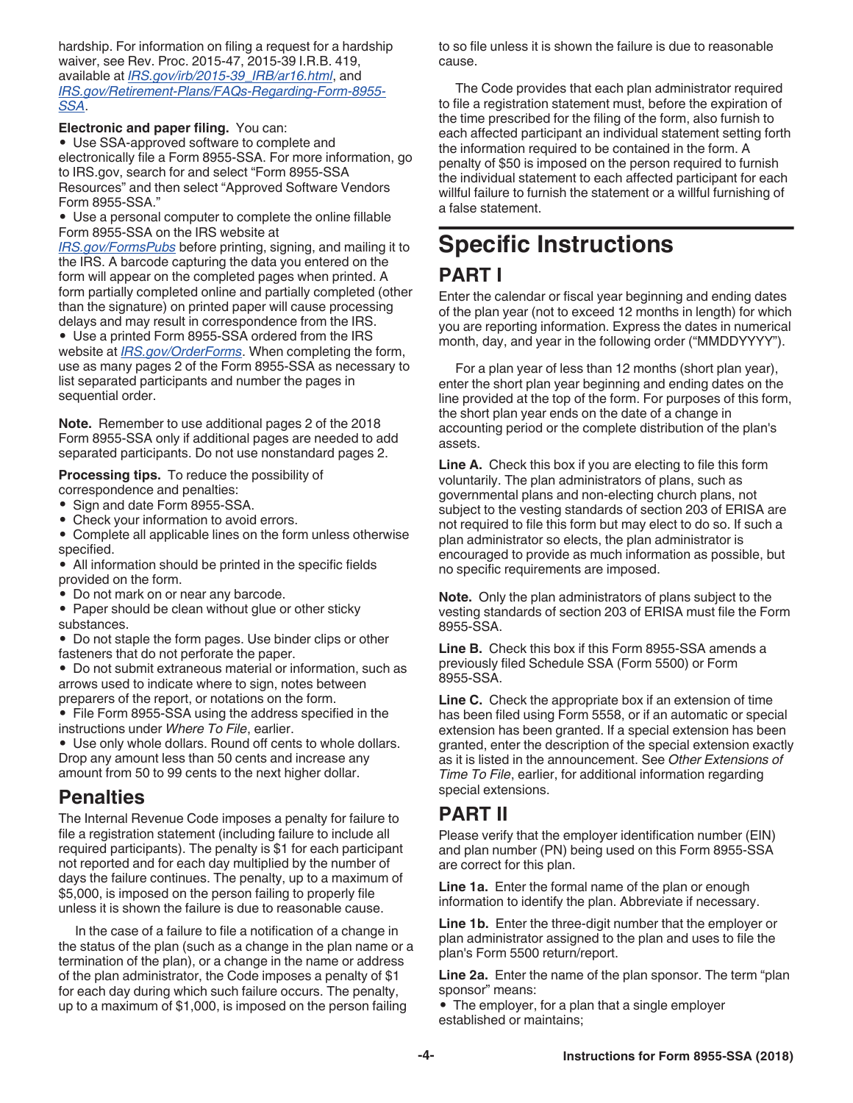hardship. For information on filing a request for a hardship waiver, see Rev. Proc. 2015-47, 2015-39 I.R.B. 419, available at *[IRS.gov/irb/2015-39\\_IRB/ar16.html](https://www.irs.gov/irb/2015-39_IRB/ar16.html)*, and *[IRS.gov/Retirement-Plans/FAQs-Regarding-Form-8955-](https://www.irs.gov/Retirement-Plans/FAQs-Regarding-Form-8955-SSA) [SSA](https://www.irs.gov/Retirement-Plans/FAQs-Regarding-Form-8955-SSA)*.

**Electronic and paper filing.** You can:

• Use SSA-approved software to complete and electronically file a Form 8955-SSA. For more information, go to IRS.gov, search for and select "Form 8955-SSA Resources" and then select "Approved Software Vendors Form 8955-SSA."

• Use a personal computer to complete the online fillable Form 8955-SSA on the IRS website at

*[IRS.gov/FormsPubs](https://www.irs.gov/formspubs)* before printing, signing, and mailing it to the IRS. A barcode capturing the data you entered on the form will appear on the completed pages when printed. A form partially completed online and partially completed (other than the signature) on printed paper will cause processing delays and may result in correspondence from the IRS.

• Use a printed Form 8955-SSA ordered from the IRS website at *[IRS.gov/OrderForms](https://www.irs.gov/orderforms)*. When completing the form, use as many pages 2 of the Form 8955-SSA as necessary to list separated participants and number the pages in sequential order.

**Note.** Remember to use additional pages 2 of the 2018 Form 8955-SSA only if additional pages are needed to add separated participants. Do not use nonstandard pages 2.

**Processing tips.** To reduce the possibility of correspondence and penalties:

- Sign and date Form 8955-SSA.
- Check your information to avoid errors.
- Complete all applicable lines on the form unless otherwise specified.

• All information should be printed in the specific fields provided on the form.

• Do not mark on or near any barcode.

• Paper should be clean without glue or other sticky substances.

• Do not staple the form pages. Use binder clips or other fasteners that do not perforate the paper.

• Do not submit extraneous material or information, such as arrows used to indicate where to sign, notes between preparers of the report, or notations on the form.

• File Form 8955-SSA using the address specified in the instructions under *Where To File*, earlier.

• Use only whole dollars. Round off cents to whole dollars. Drop any amount less than 50 cents and increase any amount from 50 to 99 cents to the next higher dollar.

#### **Penalties**

The Internal Revenue Code imposes a penalty for failure to file a registration statement (including failure to include all required participants). The penalty is \$1 for each participant not reported and for each day multiplied by the number of days the failure continues. The penalty, up to a maximum of \$5,000, is imposed on the person failing to properly file unless it is shown the failure is due to reasonable cause.

In the case of a failure to file a notification of a change in the status of the plan (such as a change in the plan name or a termination of the plan), or a change in the name or address of the plan administrator, the Code imposes a penalty of \$1 for each day during which such failure occurs. The penalty, up to a maximum of \$1,000, is imposed on the person failing

to so file unless it is shown the failure is due to reasonable cause.

The Code provides that each plan administrator required to file a registration statement must, before the expiration of the time prescribed for the filing of the form, also furnish to each affected participant an individual statement setting forth the information required to be contained in the form. A penalty of \$50 is imposed on the person required to furnish the individual statement to each affected participant for each willful failure to furnish the statement or a willful furnishing of a false statement.

## **Specific Instructions**

## **PART I**

Enter the calendar or fiscal year beginning and ending dates of the plan year (not to exceed 12 months in length) for which you are reporting information. Express the dates in numerical month, day, and year in the following order ("MMDDYYYY").

For a plan year of less than 12 months (short plan year), enter the short plan year beginning and ending dates on the line provided at the top of the form. For purposes of this form, the short plan year ends on the date of a change in accounting period or the complete distribution of the plan's assets.

**Line A.** Check this box if you are electing to file this form voluntarily. The plan administrators of plans, such as governmental plans and non-electing church plans, not subject to the vesting standards of section 203 of ERISA are not required to file this form but may elect to do so. If such a plan administrator so elects, the plan administrator is encouraged to provide as much information as possible, but no specific requirements are imposed.

**Note.** Only the plan administrators of plans subject to the vesting standards of section 203 of ERISA must file the Form 8955-SSA.

**Line B.** Check this box if this Form 8955-SSA amends a previously filed Schedule SSA (Form 5500) or Form 8955-SSA.

**Line C.** Check the appropriate box if an extension of time has been filed using Form 5558, or if an automatic or special extension has been granted. If a special extension has been granted, enter the description of the special extension exactly as it is listed in the announcement. See *Other Extensions of Time To File*, earlier, for additional information regarding special extensions.

## **PART II**

Please verify that the employer identification number (EIN) and plan number (PN) being used on this Form 8955-SSA are correct for this plan.

**Line 1a.** Enter the formal name of the plan or enough information to identify the plan. Abbreviate if necessary.

**Line 1b.** Enter the three-digit number that the employer or plan administrator assigned to the plan and uses to file the plan's Form 5500 return/report.

**Line 2a.** Enter the name of the plan sponsor. The term "plan sponsor" means:

• The employer, for a plan that a single employer established or maintains;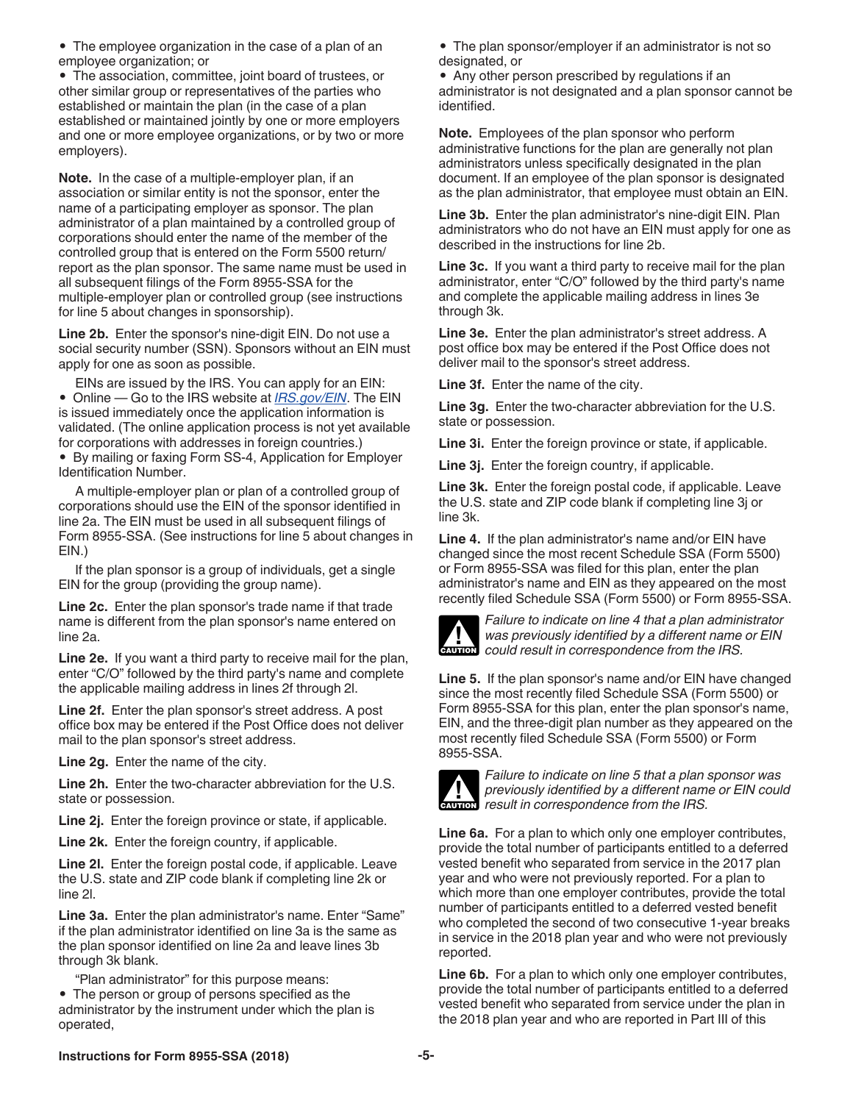• The employee organization in the case of a plan of an employee organization; or

• The association, committee, joint board of trustees, or other similar group or representatives of the parties who established or maintain the plan (in the case of a plan established or maintained jointly by one or more employers and one or more employee organizations, or by two or more employers).

**Note.** In the case of a multiple-employer plan, if an association or similar entity is not the sponsor, enter the name of a participating employer as sponsor. The plan administrator of a plan maintained by a controlled group of corporations should enter the name of the member of the controlled group that is entered on the Form 5500 return/ report as the plan sponsor. The same name must be used in all subsequent filings of the Form 8955-SSA for the multiple-employer plan or controlled group (see instructions for line 5 about changes in sponsorship).

**Line 2b.** Enter the sponsor's nine-digit EIN. Do not use a social security number (SSN). Sponsors without an EIN must apply for one as soon as possible.

EINs are issued by the IRS. You can apply for an EIN:

• Online — Go to the IRS website at *[IRS.gov/EIN](https://www.irs.gov/businesses/small-businesses-self-employed/apply-for-an-employer-identification-number-ein-online)*. The EIN is issued immediately once the application information is validated. (The online application process is not yet available for corporations with addresses in foreign countries.)

• By mailing or faxing Form SS-4, Application for Employer Identification Number.

A multiple-employer plan or plan of a controlled group of corporations should use the EIN of the sponsor identified in line 2a. The EIN must be used in all subsequent filings of Form 8955-SSA. (See instructions for line 5 about changes in EIN.)

If the plan sponsor is a group of individuals, get a single EIN for the group (providing the group name).

**Line 2c.** Enter the plan sponsor's trade name if that trade name is different from the plan sponsor's name entered on line 2a.

**Line 2e.** If you want a third party to receive mail for the plan, enter "C/O" followed by the third party's name and complete the applicable mailing address in lines 2f through 2l.

**Line 2f.** Enter the plan sponsor's street address. A post office box may be entered if the Post Office does not deliver mail to the plan sponsor's street address.

**Line 2g.** Enter the name of the city.

**Line 2h.** Enter the two-character abbreviation for the U.S. state or possession.

**Line 2j.** Enter the foreign province or state, if applicable.

**Line 2k.** Enter the foreign country, if applicable.

**Line 2l.** Enter the foreign postal code, if applicable. Leave the U.S. state and ZIP code blank if completing line 2k or line 2l.

**Line 3a.** Enter the plan administrator's name. Enter "Same" if the plan administrator identified on line 3a is the same as the plan sponsor identified on line 2a and leave lines 3b through 3k blank.

"Plan administrator" for this purpose means:

• The person or group of persons specified as the administrator by the instrument under which the plan is operated,

• The plan sponsor/employer if an administrator is not so designated, or

• Any other person prescribed by regulations if an administrator is not designated and a plan sponsor cannot be identified.

**Note.** Employees of the plan sponsor who perform administrative functions for the plan are generally not plan administrators unless specifically designated in the plan document. If an employee of the plan sponsor is designated as the plan administrator, that employee must obtain an EIN.

**Line 3b.** Enter the plan administrator's nine-digit EIN. Plan administrators who do not have an EIN must apply for one as described in the instructions for line 2b.

**Line 3c.** If you want a third party to receive mail for the plan administrator, enter "C/O" followed by the third party's name and complete the applicable mailing address in lines 3e through 3k.

**Line 3e.** Enter the plan administrator's street address. A post office box may be entered if the Post Office does not deliver mail to the sponsor's street address.

**Line 3f.** Enter the name of the city.

**Line 3g.** Enter the two-character abbreviation for the U.S. state or possession.

**Line 3i.** Enter the foreign province or state, if applicable.

**Line 3j.** Enter the foreign country, if applicable.

**Line 3k.** Enter the foreign postal code, if applicable. Leave the U.S. state and ZIP code blank if completing line 3j or line 3k.

**Line 4.** If the plan administrator's name and/or EIN have changed since the most recent Schedule SSA (Form 5500) or Form 8955-SSA was filed for this plan, enter the plan administrator's name and EIN as they appeared on the most recently filed Schedule SSA (Form 5500) or Form 8955-SSA.



*Failure to indicate on line 4 that a plan administrator was previously identified by a different name or EIN could result in correspondence from the IRS.*

**Line 5.** If the plan sponsor's name and/or EIN have changed since the most recently filed Schedule SSA (Form 5500) or Form 8955-SSA for this plan, enter the plan sponsor's name, EIN, and the three-digit plan number as they appeared on the most recently filed Schedule SSA (Form 5500) or Form 8955-SSA.



*Failure to indicate on line 5 that a plan sponsor was previously identified by a different name or EIN could*  **Previously identified by a different name and result in correspondence from the IRS.** 

**Line 6a.** For a plan to which only one employer contributes, provide the total number of participants entitled to a deferred vested benefit who separated from service in the 2017 plan year and who were not previously reported. For a plan to which more than one employer contributes, provide the total number of participants entitled to a deferred vested benefit who completed the second of two consecutive 1-year breaks in service in the 2018 plan year and who were not previously reported.

**Line 6b.** For a plan to which only one employer contributes, provide the total number of participants entitled to a deferred vested benefit who separated from service under the plan in the 2018 plan year and who are reported in Part III of this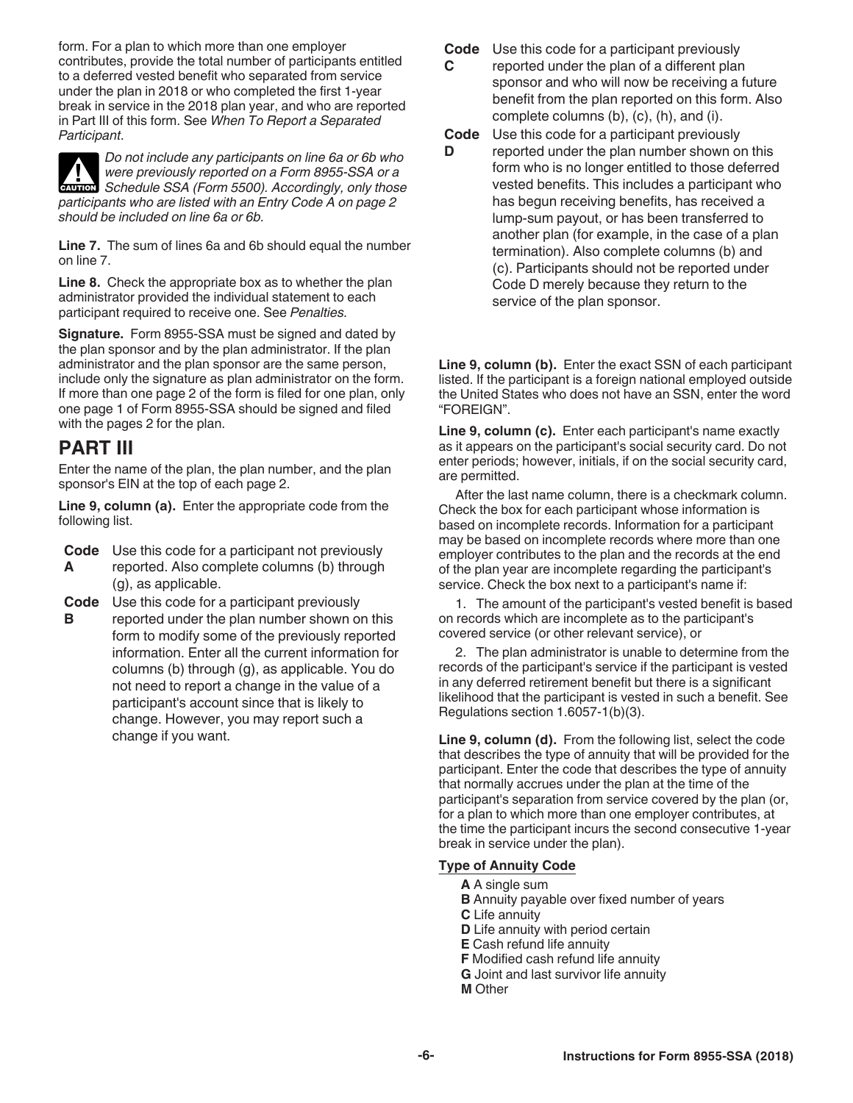form. For a plan to which more than one employer contributes, provide the total number of participants entitled to a deferred vested benefit who separated from service under the plan in 2018 or who completed the first 1-year break in service in the 2018 plan year, and who are reported in Part III of this form. See *When To Report a Separated Participant*.

*Do not include any participants on line 6a or 6b who were previously reported on a Form 8955-SSA or a*  **IN WERE PREVIOUSLY REPORTED ON A FORM 8955-SSA or a FORM Schedule SSA (Form 5500). Accordingly, only those** *participants who are listed with an Entry Code A on page 2 should be included on line 6a or 6b.*

**Line 7.** The sum of lines 6a and 6b should equal the number on line 7.

**Line 8.** Check the appropriate box as to whether the plan administrator provided the individual statement to each participant required to receive one. See *Penalties.*

**Signature.** Form 8955-SSA must be signed and dated by the plan sponsor and by the plan administrator. If the plan administrator and the plan sponsor are the same person, include only the signature as plan administrator on the form. If more than one page 2 of the form is filed for one plan, only one page 1 of Form 8955-SSA should be signed and filed with the pages 2 for the plan.

#### **PART III**

Enter the name of the plan, the plan number, and the plan sponsor's EIN at the top of each page 2.

**Line 9, column (a).** Enter the appropriate code from the following list.

- **Code**  Use this code for a participant not previously **A**  reported. Also complete columns (b) through (g), as applicable.
- **Code**  Use this code for a participant previously
- **B**  reported under the plan number shown on this form to modify some of the previously reported information. Enter all the current information for columns (b) through (g), as applicable. You do not need to report a change in the value of a participant's account since that is likely to change. However, you may report such a change if you want.

**Code**  Use this code for a participant previously

- **C**  reported under the plan of a different plan sponsor and who will now be receiving a future benefit from the plan reported on this form. Also complete columns (b), (c), (h), and (i).
- **Code**  Use this code for a participant previously
- **D**  reported under the plan number shown on this form who is no longer entitled to those deferred vested benefits. This includes a participant who has begun receiving benefits, has received a lump-sum payout, or has been transferred to another plan (for example, in the case of a plan termination). Also complete columns (b) and (c). Participants should not be reported under Code D merely because they return to the service of the plan sponsor.

**Line 9, column (b).** Enter the exact SSN of each participant listed. If the participant is a foreign national employed outside the United States who does not have an SSN, enter the word "FOREIGN".

**Line 9, column (c).** Enter each participant's name exactly as it appears on the participant's social security card. Do not enter periods; however, initials, if on the social security card, are permitted.

After the last name column, there is a checkmark column. Check the box for each participant whose information is based on incomplete records. Information for a participant may be based on incomplete records where more than one employer contributes to the plan and the records at the end of the plan year are incomplete regarding the participant's service. Check the box next to a participant's name if:

1. The amount of the participant's vested benefit is based on records which are incomplete as to the participant's covered service (or other relevant service), or

2. The plan administrator is unable to determine from the records of the participant's service if the participant is vested in any deferred retirement benefit but there is a significant likelihood that the participant is vested in such a benefit. See Regulations section 1.6057-1(b)(3).

Line 9, column (d). From the following list, select the code that describes the type of annuity that will be provided for the participant. Enter the code that describes the type of annuity that normally accrues under the plan at the time of the participant's separation from service covered by the plan (or, for a plan to which more than one employer contributes, at the time the participant incurs the second consecutive 1-year break in service under the plan).

#### **Type of Annuity Code**

- **A** A single sum
- **B** Annuity payable over fixed number of years
- **C** Life annuity
- **D** Life annuity with period certain
- **E** Cash refund life annuity
- **F** Modified cash refund life annuity
- **G** Joint and last survivor life annuity
- **M** Other